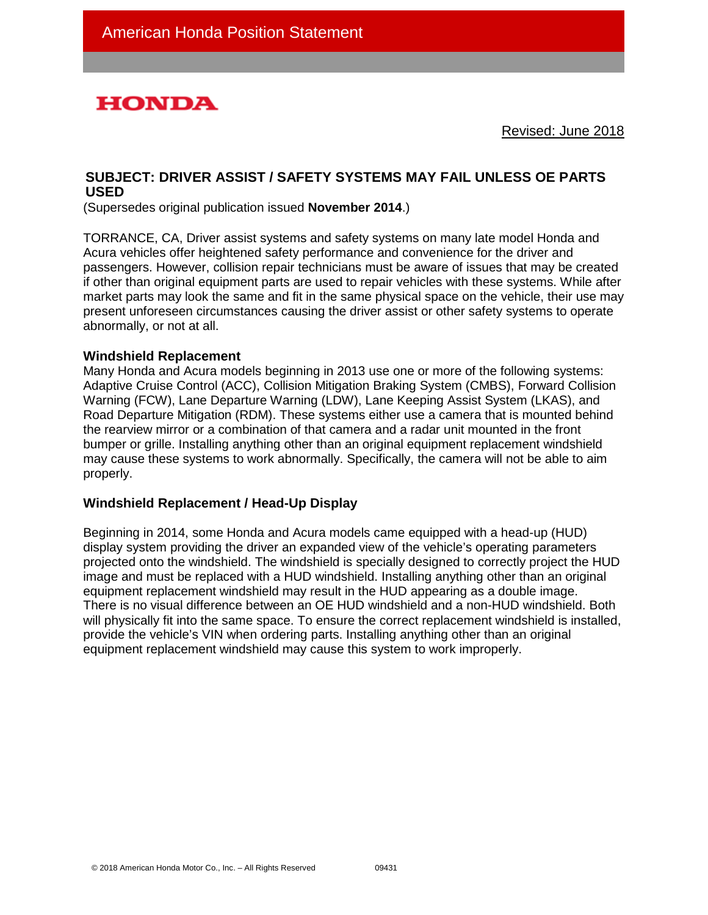# **HONDA**

Revised: June 2018

## **SUBJECT: DRIVER ASSIST / SAFETY SYSTEMS MAY FAIL UNLESS OE PARTS USED**

(Supersedes original publication issued **November 2014**.)

TORRANCE, CA, Driver assist systems and safety systems on many late model Honda and Acura vehicles offer heightened safety performance and convenience for the driver and passengers. However, collision repair technicians must be aware of issues that may be created if other than original equipment parts are used to repair vehicles with these systems. While after market parts may look the same and fit in the same physical space on the vehicle, their use may present unforeseen circumstances causing the driver assist or other safety systems to operate abnormally, or not at all.

#### **Windshield Replacement**

Many Honda and Acura models beginning in 2013 use one or more of the following systems: Adaptive Cruise Control (ACC), Collision Mitigation Braking System (CMBS), Forward Collision Warning (FCW), Lane Departure Warning (LDW), Lane Keeping Assist System (LKAS), and Road Departure Mitigation (RDM). These systems either use a camera that is mounted behind the rearview mirror or a combination of that camera and a radar unit mounted in the front bumper or grille. Installing anything other than an original equipment replacement windshield may cause these systems to work abnormally. Specifically, the camera will not be able to aim properly.

#### **Windshield Replacement / Head-Up Display**

Beginning in 2014, some Honda and Acura models came equipped with a head-up (HUD) display system providing the driver an expanded view of the vehicle's operating parameters projected onto the windshield. The windshield is specially designed to correctly project the HUD image and must be replaced with a HUD windshield. Installing anything other than an original equipment replacement windshield may result in the HUD appearing as a double image. There is no visual difference between an OE HUD windshield and a non-HUD windshield. Both will physically fit into the same space. To ensure the correct replacement windshield is installed, provide the vehicle's VIN when ordering parts. Installing anything other than an original equipment replacement windshield may cause this system to work improperly.